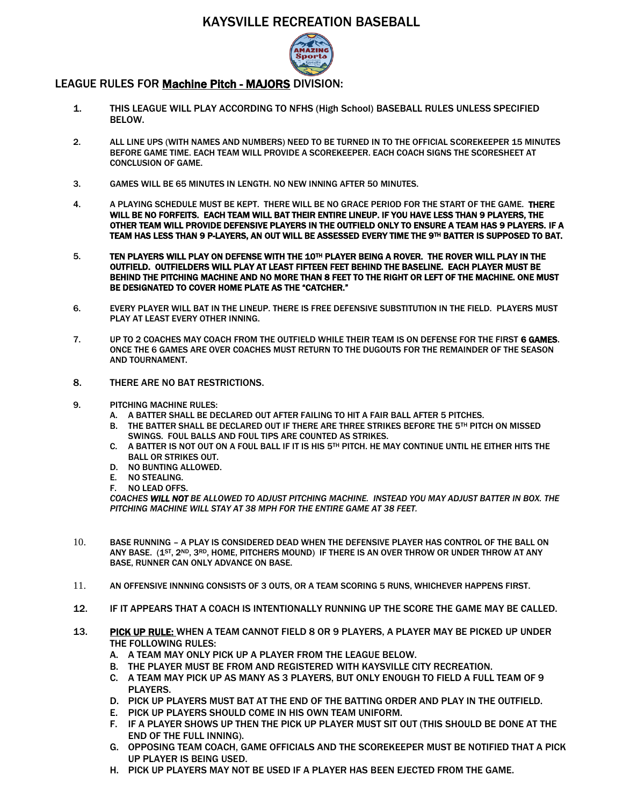## KAYSVILLE RECREATION BASEBALL



## LEAGUE RULES FOR Machine Pitch - MAJORS DIVISION:

- 1. THIS LEAGUE WILL PLAY ACCORDING TO NFHS (High School) BASEBALL RULES UNLESS SPECIFIED BELOW.
- 2. ALL LINE UPS (WITH NAMES AND NUMBERS) NEED TO BE TURNED IN TO THE OFFICIAL SCOREKEEPER 15 MINUTES BEFORE GAME TIME. EACH TEAM WILL PROVIDE A SCOREKEEPER. EACH COACH SIGNS THE SCORESHEET AT CONCLUSION OF GAME.
- 3. GAMES WILL BE 65 MINUTES IN LENGTH. NO NEW INNING AFTER 50 MINUTES.
- 4. A PLAYING SCHEDULE MUST BE KEPT. THERE WILL BE NO GRACE PERIOD FOR THE START OF THE GAME. THERE WILL BE NO FORFEITS. EACH TEAM WILL BAT THEIR ENTIRE LINEUP. IF YOU HAVE LESS THAN 9 PLAYERS, THE OTHER TEAM WILL PROVIDE DEFENSIVE PLAYERS IN THE OUTFIELD ONLY TO ENSURE A TEAM HAS 9 PLAYERS. IF A TEAM HAS LESS THAN 9 P-LAYERS, AN OUT WILL BE ASSESSED EVERY TIME THE 9TH BATTER IS SUPPOSED TO BAT.
- 5. TEN PLAYERS WILL PLAY ON DEFENSE WITH THE 10TH PLAYER BEING A ROVER. THE ROVER WILL PLAY IN THE OUTFIELD. OUTFIELDERS WILL PLAY AT LEAST FIFTEEN FEET BEHIND THE BASELINE. EACH PLAYER MUST BE BEHIND THE PITCHING MACHINE AND NO MORE THAN 8 FEET TO THE RIGHT OR LEFT OF THE MACHINE. ONE MUST BE DESIGNATED TO COVER HOME PLATE AS THE "CATCHER."
- 6. EVERY PLAYER WILL BAT IN THE LINEUP. THERE IS FREE DEFENSIVE SUBSTITUTION IN THE FIELD. PLAYERS MUST PLAY AT LEAST EVERY OTHER INNING.
- 7. UP TO 2 COACHES MAY COACH FROM THE OUTFIELD WHILE THEIR TEAM IS ON DEFENSE FOR THE FIRST 6 GAMES. ONCE THE 6 GAMES ARE OVER COACHES MUST RETURN TO THE DUGOUTS FOR THE REMAINDER OF THE SEASON AND TOURNAMENT.
- 8. THERE ARE NO BAT RESTRICTIONS.
- 9. PITCHING MACHINE RULES:
	- A. A BATTER SHALL BE DECLARED OUT AFTER FAILING TO HIT A FAIR BALL AFTER 5 PITCHES.
	- B. THE BATTER SHALL BE DECLARED OUT IF THERE ARE THREE STRIKES BEFORE THE 5TH PITCH ON MISSED SWINGS. FOUL BALLS AND FOUL TIPS ARE COUNTED AS STRIKES.
	- C. A BATTER IS NOT OUT ON A FOUL BALL IF IT IS HIS 5TH PITCH. HE MAY CONTINUE UNTIL HE EITHER HITS THE BALL OR STRIKES OUT.
	- D. NO BUNTING ALLOWED.
	- E. NO STEALING.
	- F. NO LEAD OFFS.

*COACHES WILL NOT BE ALLOWED TO ADJUST PITCHING MACHINE. INSTEAD YOU MAY ADJUST BATTER IN BOX. THE PITCHING MACHINE WILL STAY AT 38 MPH FOR THE ENTIRE GAME AT 38 FEET.* 

- 10. BASE RUNNING A PLAY IS CONSIDERED DEAD WHEN THE DEFENSIVE PLAYER HAS CONTROL OF THE BALL ON ANY BASE. (15T, 2ND, 3RD, HOME, PITCHERS MOUND) IF THERE IS AN OVER THROW OR UNDER THROW AT ANY BASE, RUNNER CAN ONLY ADVANCE ON BASE.
- 11. AN OFFENSIVE INNNING CONSISTS OF 3 OUTS, OR A TEAM SCORING 5 RUNS, WHICHEVER HAPPENS FIRST.
- 12. IF IT APPEARS THAT A COACH IS INTENTIONALLY RUNNING UP THE SCORE THE GAME MAY BE CALLED.
- 13. PICK UP RULE: WHEN A TEAM CANNOT FIELD 8 OR 9 PLAYERS, A PLAYER MAY BE PICKED UP UNDER THE FOLLOWING RULES:
	- A. A TEAM MAY ONLY PICK UP A PLAYER FROM THE LEAGUE BELOW.
	- B. THE PLAYER MUST BE FROM AND REGISTERED WITH KAYSVILLE CITY RECREATION.
	- C. A TEAM MAY PICK UP AS MANY AS 3 PLAYERS, BUT ONLY ENOUGH TO FIELD A FULL TEAM OF 9 PLAYERS.
	- D. PICK UP PLAYERS MUST BAT AT THE END OF THE BATTING ORDER AND PLAY IN THE OUTFIELD.
	- E. PICK UP PLAYERS SHOULD COME IN HIS OWN TEAM UNIFORM.
	- F. IF A PLAYER SHOWS UP THEN THE PICK UP PLAYER MUST SIT OUT (THIS SHOULD BE DONE AT THE END OF THE FULL INNING).
	- G. OPPOSING TEAM COACH, GAME OFFICIALS AND THE SCOREKEEPER MUST BE NOTIFIED THAT A PICK UP PLAYER IS BEING USED.
	- H. PICK UP PLAYERS MAY NOT BE USED IF A PLAYER HAS BEEN EJECTED FROM THE GAME.